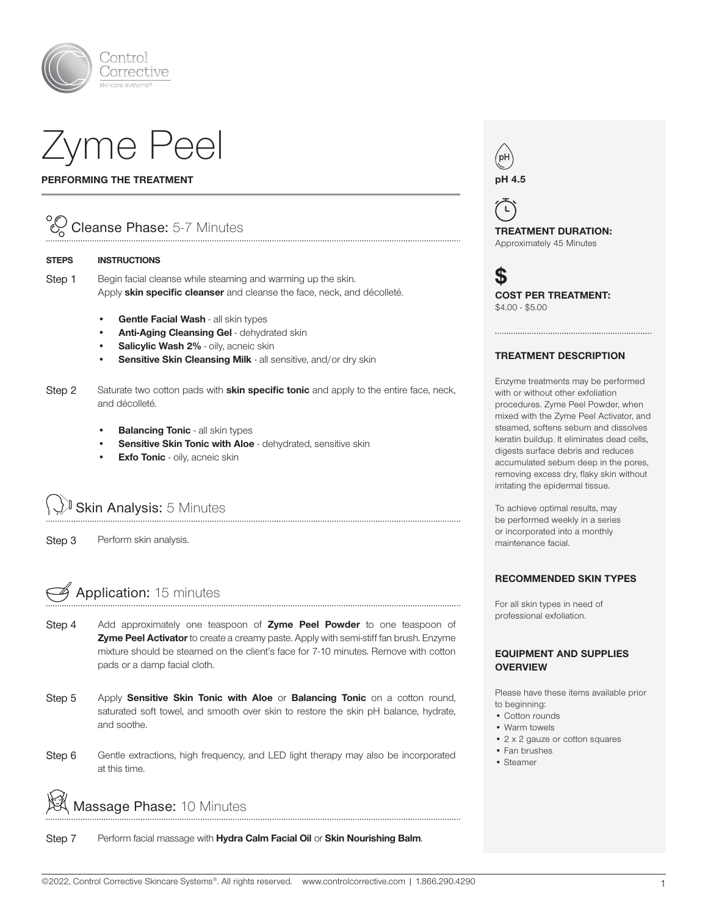

# Zyme Peel

#### PERFORMING THE TREATMENT

### Cleanse Phase: 5-7 Minutes

#### STEPS INSTRUCTIONS

Step 1 Begin facial cleanse while steaming and warming up the skin. Apply skin specific cleanser and cleanse the face, neck, and décolleté.

- Gentle Facial Wash all skin types
- Anti-Aging Cleansing Gel dehydrated skin
- Salicylic Wash 2% oily, acneic skin
- Sensitive Skin Cleansing Milk all sensitive, and/or dry skin
- Step 2 Saturate two cotton pads with **skin specific tonic** and apply to the entire face, neck, and décolleté.

- **Balancing Tonic all skin types**
- Sensitive Skin Tonic with Aloe dehydrated, sensitive skin
- **Exfo Tonic** oily, acneic skin

Skin Analysis: 5 Minutes

Step 3 Perform skin analysis.

## Application: 15 minutes

- Step 4 Add approximately one teaspoon of Zyme Peel Powder to one teaspoon of **Zyme Peel Activator** to create a creamy paste. Apply with semi-stiff fan brush. Enzyme mixture should be steamed on the client's face for 7-10 minutes. Remove with cotton pads or a damp facial cloth.
- Step 5 Apply Sensitive Skin Tonic with Aloe or Balancing Tonic on a cotton round, saturated soft towel, and smooth over skin to restore the skin pH balance, hydrate, and soothe.
- Step 6 Gentle extractions, high frequency, and LED light therapy may also be incorporated at this time.

Massage Phase: 10 Minutes

Step 7 Perform facial massage with Hydra Calm Facial Oil or Skin Nourishing Balm.



 $\mathsf{L}% _{\mathsf{L}}$ TREATMENT DURATION: Approximately 45 Minutes

 $\mathbf S$ COST PER TREATMENT: \$4.00 - \$5.00

#### TREATMENT DESCRIPTION

Enzyme treatments may be performed with or without other exfoliation procedures. Zyme Peel Powder, when mixed with the Zyme Peel Activator, and steamed, softens sebum and dissolves keratin buildup. It eliminates dead cells, digests surface debris and reduces accumulated sebum deep in the pores, removing excess dry, flaky skin without irritating the epidermal tissue.

To achieve optimal results, may be performed weekly in a series or incorporated into a monthly maintenance facial.

#### RECOMMENDED SKIN TYPES

For all skin types in need of professional exfoliation.

#### EQUIPMENT AND SUPPLIES **OVERVIEW**

Please have these items available prior to beginning:

- Cotton rounds
- Warm towels
- 2 x 2 gauze or cotton squares
- Fan brushes
- Steamer